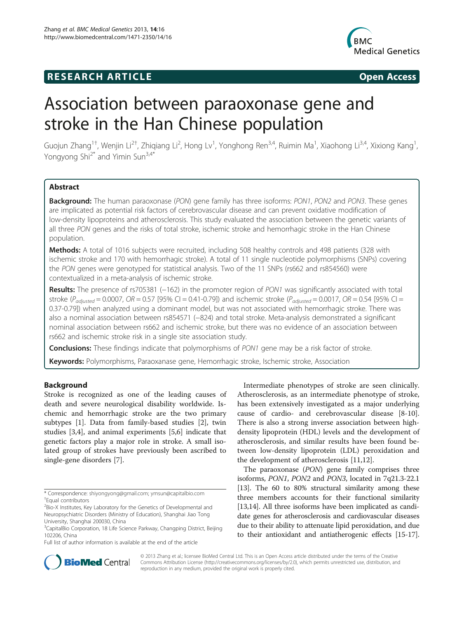# **RESEARCH ARTICLE Example 2014 CONSIDERING CONSIDERING CONSIDERING CONSIDERING CONSIDERING CONSIDERING CONSIDERING CONSIDERING CONSIDERING CONSIDERING CONSIDERING CONSIDERING CONSIDERING CONSIDERING CONSIDERING CONSIDE**



# Association between paraoxonase gene and stroke in the Han Chinese population

Guojun Zhang<sup>1†</sup>, Wenjin Li<sup>2†</sup>, Zhiqiang Li<sup>2</sup>, Hong Lv<sup>1</sup>, Yonghong Ren<sup>3,4</sup>, Ruimin Ma<sup>1</sup>, Xiaohong Li<sup>3,4</sup>, Xixiong Kang<sup>1</sup> , Yongyong Shi<sup>2\*</sup> and Yimin Sun<sup>3,4\*</sup>

# Abstract

Background: The human paraoxonase (PON) gene family has three isoforms: PON1, PON2 and PON3. These genes are implicated as potential risk factors of cerebrovascular disease and can prevent oxidative modification of low-density lipoproteins and atherosclerosis. This study evaluated the association between the genetic variants of all three PON genes and the risks of total stroke, ischemic stroke and hemorrhagic stroke in the Han Chinese population.

Methods: A total of 1016 subjects were recruited, including 508 healthy controls and 498 patients (328 with ischemic stroke and 170 with hemorrhagic stroke). A total of 11 single nucleotide polymorphisms (SNPs) covering the PON genes were genotyped for statistical analysis. Two of the 11 SNPs (rs662 and rs854560) were contextualized in a meta-analysis of ischemic stroke.

Results: The presence of rs705381 (−162) in the promoter region of PON1 was significantly associated with total stroke ( $P_{adjusted} = 0.0007$ ,  $OR = 0.57$  [95% CI = 0.41-0.79]) and ischemic stroke ( $P_{adjusted} = 0.0017$ ,  $OR = 0.54$  [95% CI = 0.37-0.79]) when analyzed using a dominant model, but was not associated with hemorrhagic stroke. There was also a nominal association between rs854571 (−824) and total stroke. Meta-analysis demonstrated a significant nominal association between rs662 and ischemic stroke, but there was no evidence of an association between rs662 and ischemic stroke risk in a single site association study.

**Conclusions:** These findings indicate that polymorphisms of PON1 gene may be a risk factor of stroke.

Keywords: Polymorphisms, Paraoxanase gene, Hemorrhagic stroke, Ischemic stroke, Association

# Background

Stroke is recognized as one of the leading causes of death and severe neurological disability worldwide. Ischemic and hemorrhagic stroke are the two primary subtypes [\[1\]](#page-8-0). Data from family-based studies [\[2](#page-8-0)], twin studies [[3,4\]](#page-8-0), and animal experiments [[5,6\]](#page-8-0) indicate that genetic factors play a major role in stroke. A small isolated group of strokes have previously been ascribed to single-gene disorders [\[7](#page-8-0)].

Full list of author information is available at the end of the article

Intermediate phenotypes of stroke are seen clinically. Atherosclerosis, as an intermediate phenotype of stroke, has been extensively investigated as a major underlying cause of cardio- and cerebrovascular disease [[8-10](#page-8-0)]. There is also a strong inverse association between highdensity lipoprotein (HDL) levels and the development of atherosclerosis, and similar results have been found between low-density lipoprotein (LDL) peroxidation and the development of atherosclerosis [\[11,12](#page-8-0)].

The paraoxonase (PON) gene family comprises three isoforms, PON1, PON2 and PON3, located in 7q21.3-22.1 [[13](#page-8-0)]. The 60 to 80% structural similarity among these three members accounts for their functional similarity [[13,14](#page-8-0)]. All three isoforms have been implicated as candidate genes for atherosclerosis and cardiovascular diseases due to their ability to attenuate lipid peroxidation, and due to their antioxidant and antiatherogenic effects [[15](#page-9-0)-[17](#page-9-0)].



© 2013 Zhang et al.; licensee BioMed Central Ltd. This is an Open Access article distributed under the terms of the Creative Commons Attribution License [\(http://creativecommons.org/licenses/by/2.0\)](http://creativecommons.org/licenses/by/2.0), which permits unrestricted use, distribution, and reproduction in any medium, provided the original work is properly cited.

<sup>\*</sup> Correspondence: [shiyongyong@gmail.com](mailto:shiyongyong@gmail.com); [ymsun@capitalbio.com](mailto:ymsun@capitalbio.com) † <sup>+</sup>Fqual contributors

<sup>&</sup>lt;sup>2</sup>Bio-X Institutes, Key Laboratory for the Genetics of Developmental and Neuropsychiatric Disorders (Ministry of Education), Shanghai Jiao Tong University, Shanghai 200030, China

<sup>&</sup>lt;sup>3</sup>CapitalBio Corporation, 18 Life Science Parkway, Changping District, Beijing 102206, China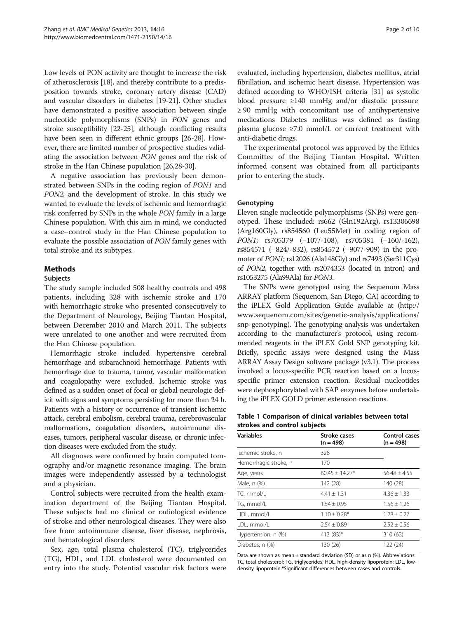<span id="page-1-0"></span>Low levels of PON activity are thought to increase the risk of atherosclerosis [\[18\]](#page-9-0), and thereby contribute to a predisposition towards stroke, coronary artery disease (CAD) and vascular disorders in diabetes [\[19-21](#page-9-0)]. Other studies have demonstrated a positive association between single nucleotide polymorphisms (SNPs) in PON genes and stroke susceptibility [\[22-25](#page-9-0)], although conflicting results have been seen in different ethnic groups [[26-28\]](#page-9-0). However, there are limited number of prospective studies validating the association between PON genes and the risk of stroke in the Han Chinese population [\[26,28-30\]](#page-9-0).

A negative association has previously been demonstrated between SNPs in the coding region of PON1 and PON2, and the development of stroke. In this study we wanted to evaluate the levels of ischemic and hemorrhagic risk conferred by SNPs in the whole PON family in a large Chinese population. With this aim in mind, we conducted a case–control study in the Han Chinese population to evaluate the possible association of PON family genes with total stroke and its subtypes.

# Methods

#### **Subjects**

The study sample included 508 healthy controls and 498 patients, including 328 with ischemic stroke and 170 with hemorrhagic stroke who presented consecutively to the Department of Neurology, Beijing Tiantan Hospital, between December 2010 and March 2011. The subjects were unrelated to one another and were recruited from the Han Chinese population.

Hemorrhagic stroke included hypertensive cerebral hemorrhage and subarachnoid hemorrhage. Patients with hemorrhage due to trauma, tumor, vascular malformation and coagulopathy were excluded. Ischemic stroke was defined as a sudden onset of focal or global neurologic deficit with signs and symptoms persisting for more than 24 h. Patients with a history or occurrence of transient ischemic attack, cerebral embolism, cerebral trauma, cerebrovascular malformations, coagulation disorders, autoimmune diseases, tumors, peripheral vascular disease, or chronic infection diseases were excluded from the study.

All diagnoses were confirmed by brain computed tomography and/or magnetic resonance imaging. The brain images were independently assessed by a technologist and a physician.

Control subjects were recruited from the health examination department of the Beijing Tiantan Hospital. These subjects had no clinical or radiological evidence of stroke and other neurological diseases. They were also free from autoimmune disease, liver disease, nephrosis, and hematological disorders

Sex, age, total plasma cholesterol (TC), triglycerides (TG), HDL, and LDL cholesterol were documented on entry into the study. Potential vascular risk factors were

evaluated, including hypertension, diabetes mellitus, atrial fibrillation, and ischemic heart disease. Hypertension was defined according to WHO/ISH criteria [\[31](#page-9-0)] as systolic blood pressure ≥140 mmHg and/or diastolic pressure ≥ 90 mmHg with concomitant use of antihypertensive medications Diabetes mellitus was defined as fasting plasma glucose  $\geq 7.0$  mmol/L or current treatment with anti-diabetic drugs.

The experimental protocol was approved by the Ethics Committee of the Beijing Tiantan Hospital. Written informed consent was obtained from all participants prior to entering the study.

#### Genotyping

Eleven single nucleotide polymorphisms (SNPs) were genotyped. These included: rs662 (Gln192Arg), rs13306698 (Arg160Gly), rs854560 (Leu55Met) in coding region of PON1; rs705379 (-107/-108), rs705381 (-160/-162), rs854571 (−824/-832), rs854572 (−907/-909) in the promoter of PON1; rs12026 (Ala148Gly) and rs7493 (Ser311Cys) of PON2, together with rs2074353 (located in intron) and rs1053275 (Ala99Ala) for PON3.

The SNPs were genotyped using the Sequenom Mass ARRAY platform (Sequenom, San Diego, CA) according to the iPLEX Gold Application Guide available at ([http://](http://www.sequenom.com/sites/genetic-analysis/applications/snp-genotyping) [www.sequenom.com/sites/genetic-analysis/applications/](http://www.sequenom.com/sites/genetic-analysis/applications/snp-genotyping) [snp-genotyping](http://www.sequenom.com/sites/genetic-analysis/applications/snp-genotyping)). The genotyping analysis was undertaken according to the manufacturer's protocol, using recommended reagents in the iPLEX Gold SNP genotyping kit. Briefly, specific assays were designed using the Mass ARRAY Assay Design software package (v3.1). The process involved a locus-specific PCR reaction based on a locusspecific primer extension reaction. Residual nucleotides were dephosphorylated with SAP enzymes before undertaking the iPLEX GOLD primer extension reactions.

## Table 1 Comparison of clinical variables between total strokes and control subjects

| Variables             | <b>Stroke cases</b><br>$(n = 498)$ | Control cases<br>$(n = 498)$ |  |  |
|-----------------------|------------------------------------|------------------------------|--|--|
| Ischemic stroke, n    | 328                                |                              |  |  |
| Hemorrhagic stroke, n | 170                                |                              |  |  |
| Age, years            | $60.45 \pm 14.27*$                 | $56.48 \pm 4.55$             |  |  |
| Male, n (%)           | 142 (28)                           | 140 (28)                     |  |  |
| TC, mmol/L            | $4.41 \pm 1.31$                    | $4.36 \pm 1.33$              |  |  |
| TG, mmol/L            | $1.54 \pm 0.95$                    | $1.56 \pm 1.26$              |  |  |
| HDL, mmol/L           | $1.10 \pm 0.28*$                   | $1.28 \pm 0.27$              |  |  |
| LDL, mmol/L           | $2.54 \pm 0.89$                    | $2.52 \pm 0.56$              |  |  |
| Hypertension, n (%)   | 413 (83)*                          | 310 (62)                     |  |  |
| Diabetes, n (%)       | 130 (26)                           | 122 (24)                     |  |  |

Data are shown as mean  $\pm$  standard deviation (SD) or as n (%). Abbreviations: TC, total cholesterol; TG, triglycerides; HDL, high-density lipoprotein; LDL, lowdensity lipoprotein.\*Significant differences between cases and controls.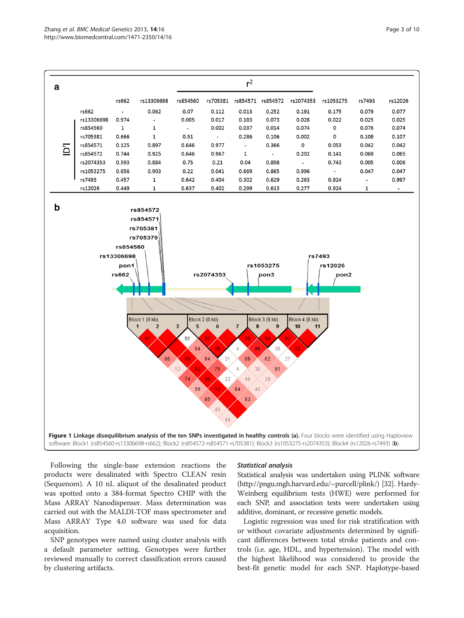<span id="page-2-0"></span>

Following the single-base extension reactions the products were desalinated with Spectro CLEAN resin (Sequenom). A 10 nL aliquot of the desalinated product was spotted onto a 384-format Spectro CHIP with the Mass ARRAY Nanodispenser. Mass determination was carried out with the MALDI-TOF mass spectrometer and Mass ARRAY Type 4.0 software was used for data acquisition.

SNP genotypes were named using cluster analysis with a default parameter setting. Genotypes were further reviewed manually to correct classification errors caused by clustering artifacts.

## Statistical analysis

Statistical analysis was undertaken using PLINK software (http://pngu.mgh.harvard.edu/~purcell/plink/) [\[32\]](#page-9-0). Hardy-Weinberg equilibrium tests (HWE) were performed for each SNP, and association tests were undertaken using additive, dominant, or recessive genetic models.

Logistic regression was used for risk stratification with or without covariate adjustments determined by significant differences between total stroke patients and controls (i.e. age, HDL, and hypertension). The model with the highest likelihood was considered to provide the best-fit genetic model for each SNP. Haplotype-based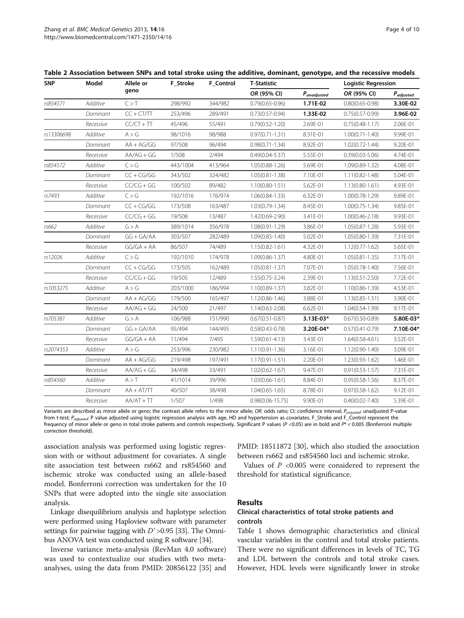<span id="page-3-0"></span>

| Table 2 Association between SNPs and total stroke using the additive, dominant, genotype, and the recessive models |  |  |  |
|--------------------------------------------------------------------------------------------------------------------|--|--|--|
|--------------------------------------------------------------------------------------------------------------------|--|--|--|

| <b>SNP</b> | Model     | Allele or<br>geno | F_Stroke | <b>F_Control</b> | <b>T-Statistic</b>   |                  | <b>Logistic Regression</b> |                |
|------------|-----------|-------------------|----------|------------------|----------------------|------------------|----------------------------|----------------|
|            |           |                   |          |                  | OR (95% CI)          | $P_{unadjusted}$ | OR (95% CI)                | $P_{adjusted}$ |
| rs854571   | Additive  | C > T             | 298/992  | 344/982          | $0.79(0.65 - 0.96)$  | 1.71E-02         | $0.80(0.65 - 0.98)$        | 3.30E-02       |
|            | Dominant  | $CC + CT/TT$      | 253/496  | 289/491          | $0.73(0.57 - 0.94)$  | 1.33E-02         | $0.75(0.57 - 0.99)$        | 3.96E-02       |
|            | Recessive | $CC/CT + TT$      | 45/496   | 55/491           | $0.79(0.52 - 1.20)$  | 2.69E-01         | $0.75(0.48-1.17)$          | 2.06E-01       |
| rs13306698 | Additive  | A > G             | 98/1016  | 98/988           | $0.97(0.71 - 1.31)$  | 8.31E-01         | $1.00(0.71 - 1.40)$        | 9.99E-01       |
|            | Dominant  | $AA + AG/GG$      | 97/508   | 96/494           | $0.98(0.71 - 1.34)$  | 8.92E-01         | $1.02(0.72 - 1.44)$        | 9.20E-01       |
|            | Recessive | $AA/AG + GG$      | 1/508    | 2/494            | $0.49(0.04 - 5.37)$  | 5.55E-01         | $0.39(0.03 - 5.06)$        | 4.74E-01       |
| rs854572   | Additive  | C > G             | 443/1004 | 413/964          | $1.05(0.88 - 1.26)$  | 5.69E-01         | 1.09(0.89-1.32)            | 4.08E-01       |
|            | Dominant  | $CC + CG/GG$      | 343/502  | 324/482          | $1.05(0.81 - 1.38)$  | 7.10E-01         | $1.11(0.82 - 1.48)$        | 5.04E-01       |
|            | Recessive | $CC/CG + GG$      | 100/502  | 89/482           | $1.10(0.80 - 1.51)$  | 5.62E-01         | $1.13(0.80 - 1.61)$        | 4.93E-01       |
| rs7493     | Additive  | C > G             | 192/1016 | 176/974          | $1.06(0.84 - 1.33)$  | 6.32E-01         | $1.00(0.78-1.29)$          | 9.89E-01       |
|            | Dominant  | $CC + CG/GG$      | 173/508  | 163/487          | $1.03(0.79 - 1.34)$  | 8.45E-01         | $1.00(0.75 - 1.34)$        | 9.85E-01       |
|            | Recessive | $CC/CG + GG$      | 19/508   | 13/487           | 1.42(0.69-2.90)      | 3.41E-01         | $1.00(0.46 - 2.18)$        | 9.93E-01       |
| rs662      | Additive  | G > A             | 389/1014 | 356/978          | $1.08(0.91 - 1.29)$  | 3.86E-01         | $1.05(0.87 - 1.28)$        | 5.93E-01       |
|            | Dominant  | $GG + GA/AA$      | 303/507  | 282/489          | $1.09(0.85 - 1.40)$  | 5.02E-01         | $1.05(0.80-1.39)$          | 7.31E-01       |
|            | Recessive | $GG/GA + AA$      | 86/507   | 74/489           | $1.15(0.82 - 1.61)$  | 4.32E-01         | $1.12(0.77 - 1.62)$        | 5.65E-01       |
| rs12026    | Additive  | C > G             | 192/1010 | 174/978          | $1.09(0.86 - 1.37)$  | 4.80E-01         | $1.05(0.81 - 1.35)$        | 7.17E-01       |
|            | Dominant  | $CC + CG/GG$      | 173/505  | 162/489          | $1.05(0.81 - 1.37)$  | 7.07E-01         | $1.05(0.78 - 1.40)$        | 7.56E-01       |
|            | Recessive | $CC/CG + GG$      | 19/505   | 12/489           | $1.55(0.75 - 3.24)$  | 2.39E-01         | $1.13(0.51 - 2.50)$        | 7.72E-01       |
| rs1053275  | Additive  | A > G             | 203/1000 | 186/994          | $1.10(0.89 - 1.37)$  | 3.82E-01         | 1.10(0.86-1.39)            | 4.53E-01       |
|            | Dominant  | $AA + AG/GG$      | 179/500  | 165/497          | $1.12(0.86 - 1.46)$  | 3.88E-01         | $1.13(0.85 - 1.51)$        | 3.90E-01       |
|            | Recessive | $AA/AG + GG$      | 24/500   | 21/497           | $1.14(0.63 - 2.08)$  | 6.62E-01         | $1.04(0.54 - 1.99)$        | 9.17E-01       |
| rs705381   | Additive  | G > A             | 106/988  | 151/990          | $0.67(0.51 - 0.87)$  | 3.13E-03*        | $0.67(0.50 - 0.89)$        | 5.80E-03*      |
|            | Dominant  | $GG + GA/AA$      | 95/494   | 144/495          | $0.58(0.43 - 0.78)$  | 3.20E-04*        | $0.57(0.41 - 0.79)$        | 7.10E-04*      |
|            | Recessive | $GG/GA + AA$      | 11/494   | 7/495            | $1.59(0.61 - 4.13)$  | 3.43E-01         | $1.64(0.58 - 4.61)$        | 3.52E-01       |
| rs2074353  | Additive  | A > G             | 253/996  | 230/982          | $1.11(0.91 - 1.36)$  | 3.16E-01         | $1.12(0.90 - 1.40)$        | 3.09E-01       |
|            | Dominant  | $AA + AG/GG$      | 219/498  | 197/491          | $1.17(0.91 - 1.51)$  | 2.20E-01         | $1.23(0.93 - 1.62)$        | 1.46E-01       |
|            | Recessive | $AA/AG + GG$      | 34/498   | 33/491           | $1.02(0.62 - 1.67)$  | 9.47E-01         | $0.91(0.53 - 1.57)$        | 7.31E-01       |
| rs854560   | Additive  | A > T             | 41/1014  | 39/996           | $1.03(0.66 - 1.61)$  | 8.84E-01         | $0.95(0.58 - 1.56)$        | 8.37E-01       |
|            | Dominant  | $AA + AT/TT$      | 40/507   | 38/498           | $1.04(0.65 - 1.65)$  | 8.78E-01         | $0.97(0.58 - 1.62)$        | 9.12E-01       |
|            | Recessive | $AA/AT + TT$      | 1/507    | 1/498            | $0.98(0.06 - 15.75)$ | 9.90E-01         | $0.40(0.02 - 7.40)$        | 5.39E-01       |
|            |           |                   |          |                  |                      |                  |                            |                |

Variants are described as minor allele or geno; the contrast allele refers to the minor allele; OR: odds ratio; CI: confidence interval; P<sub>unjusted</sub>: unadjusted P-value from t-test; P<sub>adiusted</sub>: P value adjusted using logistic regression analysis with age, HD and hypertension as covariates. F\_Stroke and F\_Control represent the frequency of minor allele or geno in total stroke patients and controls respectively. Significant P values ( $P$  <0.05) are in bold and  $P^*$  < 0.005 (Bonferroni multiple correction threshold).

association analysis was performed using logistic regression with or without adjustment for covariates. A single site association test between rs662 and rs854560 and ischemic stroke was conducted using an allele-based model. Bonferroni correction was undertaken for the 10 SNPs that were adopted into the single site association analysis.

Linkage disequilibrium analysis and haplotype selection were performed using Haploview software with parameter settings for pairwise tagging with  $D' > 0.95$  [\[33\]](#page-9-0). The Omnibus ANOVA test was conducted using R software [\[34](#page-9-0)].

Inverse variance meta-analysis (RevMan 4.0 software) was used to contextualize our studies with two metaanalyses, using the data from PMID: 20856122 [[35\]](#page-9-0) and

PMID: 18511872 [\[30](#page-9-0)], which also studied the association between rs662 and rs854560 loci and ischemic stroke.

Values of  $P < 0.005$  were considered to represent the threshold for statistical significance.

## Results

# Clinical characteristics of total stroke patients and controls

Table [1](#page-1-0) shows demographic characteristics and clinical vascular variables in the control and total stroke patients. There were no significant differences in levels of TC, TG and LDL between the controls and total stroke cases. However, HDL levels were significantly lower in stroke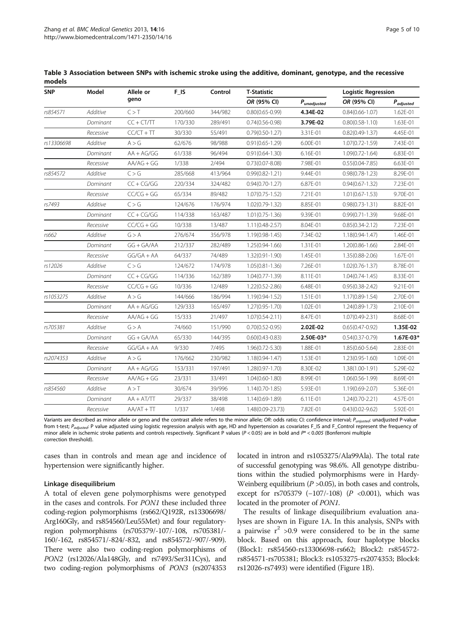| <b>SNP</b> | Model           | Allele or<br>geno | F_IS    | Control | <b>T-Statistic</b>  |                  | <b>Logistic Regression</b> |                |
|------------|-----------------|-------------------|---------|---------|---------------------|------------------|----------------------------|----------------|
|            |                 |                   |         |         | OR (95% CI)         | $P_{unadjusted}$ | OR (95% CI)                | $P_{adjusted}$ |
| rs854571   | <b>Additive</b> | C > T             | 200/660 | 344/982 | $0.80(0.65 - 0.99)$ | 4.34E-02         | $0.84(0.66 - 1.07)$        | 1.62E-01       |
|            | Dominant        | $CC + CT/TT$      | 170/330 | 289/491 | $0.74(0.56 - 0.98)$ | 3.79E-02         | $0.80(0.58 - 1.10)$        | 1.63E-01       |
|            | Recessive       | $CC/CT + TT$      | 30/330  | 55/491  | $0.79(0.50-1.27)$   | 3.31E-01         | $0.82(0.49 - 1.37)$        | 4.45E-01       |
| rs13306698 | Additive        | A > G             | 62/676  | 98/988  | $0.91(0.65 - 1.29)$ | 6.00E-01         | $1.07(0.72 - 1.59)$        | 7.43E-01       |
|            | Dominant        | $AA + AG/GG$      | 61/338  | 96/494  | $0.91(0.64 - 1.30)$ | 6.16E-01         | $1.09(0.72 - 1.64)$        | 6.83E-01       |
|            | Recessive       | $AA/AG + GG$      | 1/338   | 2/494   | $0.73(0.07 - 8.08)$ | 7.98E-01         | $0.55(0.04 - 7.85)$        | 6.63E-01       |
| rs854572   | Additive        | C > G             | 285/668 | 413/964 | $0.99(0.82 - 1.21)$ | 9.44E-01         | $0.98(0.78 - 1.23)$        | 8.29E-01       |
|            | Dominant        | $CC + CG/GG$      | 220/334 | 324/482 | $0.94(0.70 - 1.27)$ | 6.87E-01         | $0.94(0.67 - 1.32)$        | 7.23E-01       |
|            | Recessive       | $CC/CG + GG$      | 65/334  | 89/482  | $1.07(0.75 - 1.52)$ | 7.21E-01         | $1.01(0.67 - 1.53)$        | 9.70E-01       |
| rs7493     | Additive        | C > G             | 124/676 | 176/974 | $1.02(0.79 - 1.32)$ | 8.85E-01         | $0.98(0.73 - 1.31)$        | 8.82E-01       |
|            | Dominant        | $CC + CG/GG$      | 114/338 | 163/487 | $1.01(0.75 - 1.36)$ | 9.39E-01         | $0.99(0.71 - 1.39)$        | 9.68E-01       |
|            | Recessive       | $CC/CG + GG$      | 10/338  | 13/487  | $1.11(0.48 - 2.57)$ | 8.04E-01         | $0.85(0.34 - 2.12)$        | 7.23E-01       |
| rs662      | Additive        | G > A             | 276/674 | 356/978 | $1.19(0.98 - 1.45)$ | 7.34E-02         | $1.18(0.94 - 1.47)$        | 1.46E-01       |
|            | Dominant        | $GG + GA/AA$      | 212/337 | 282/489 | $1.25(0.94 - 1.66)$ | 1.31E-01         | $1.20(0.86 - 1.66)$        | 2.84E-01       |
|            | Recessive       | $GG/GA + AA$      | 64/337  | 74/489  | $1.32(0.91 - 1.90)$ | 1.45E-01         | 1.35(0.88-2.06)            | 1.67E-01       |
| rs12026    | Additive        | C > G             | 124/672 | 174/978 | $1.05(0.81 - 1.36)$ | 7.26E-01         | $1.02(0.76 - 1.37)$        | 8.78E-01       |
|            | Dominant        | $CC + CG/GG$      | 114/336 | 162/389 | $1.04(0.77 - 1.39)$ | 8.11E-01         | $1.04(0.74 - 1.45)$        | 8.33E-01       |
|            | Recessive       | $CC/CG + GG$      | 10/336  | 12/489  | $1.22(0.52 - 2.86)$ | 6.48E-01         | $0.95(0.38 - 2.42)$        | 9.21E-01       |
| rs1053275  | Additive        | A > G             | 144/666 | 186/994 | 1.19(0.94-1.52)     | 1.51E-01         | 1.17(0.89-1.54)            | 2.70E-01       |
|            | Dominant        | $AA + AG/GG$      | 129/333 | 165/497 | $1.27(0.95 - 1.70)$ | 1.02E-01         | $1.24(0.89 - 1.73)$        | 2.10E-01       |
|            | Recessive       | $AA/AG + GG$      | 15/333  | 21/497  | $1.07(0.54 - 2.11)$ | 8.47E-01         | $1.07(0.49 - 2.31)$        | 8.68E-01       |
| rs705381   | Additive        | G > A             | 74/660  | 151/990 | $0.70(0.52 - 0.95)$ | 2.02E-02         | $0.65(0.47 - 0.92)$        | 1.35E-02       |
|            | Dominant        | $GG + GA/AA$      | 65/330  | 144/395 | $0.60(0.43 - 0.83)$ | 2.50E-03*        | $0.54(0.37 - 0.79)$        | 1.67E-03*      |
|            | Recessive       | $GG/GA + AA$      | 9/330   | 7/495   | $1.96(0.72 - 5.30)$ | 1.88E-01         | $1.85(0.60 - 5.64)$        | 2.83E-01       |
| rs2074353  | Additive        | A > G             | 176/662 | 230/982 | $1.18(0.94 - 1.47)$ | 1.53E-01         | $1.23(0.95 - 1.60)$        | 1.09E-01       |
|            | Dominant        | $AA + AG/GG$      | 153/331 | 197/491 | $1.28(0.97 - 1.70)$ | 8.30E-02         | 1.38(1.00-1.91)            | 5.29E-02       |
|            | Recessive       | $AA/AG + GG$      | 23/331  | 33/491  | $1.04(0.60 - 1.80)$ | 8.99E-01         | $1.06(0.56 - 1.99)$        | 8.69E-01       |
| rs854560   | Additive        | A > T             | 30/674  | 39/996  | $1.14(0.70-1.85)$   | 5.93E-01         | 1.19(0.69-2.07)            | 5.36E-01       |
|            | Dominant        | $AA + AT/TT$      | 29/337  | 38/498  | 1.14(0.69-1.89)     | 6.11E-01         | $1.24(0.70-2.21)$          | 4.57E-01       |
|            | Recessive       | $AA/AT + TT$      | 1/337   | 1/498   | 1.48(0.09-23.73)    | 7.82E-01         | $0.43(0.02 - 9.62)$        | 5.92E-01       |

<span id="page-4-0"></span>Table 3 Association between SNPs with ischemic stroke using the additive, dominant, genotype, and the recessive models

Variants are described as minor allele or geno and the contrast allele refers to the minor allele; OR: odds ratio; CI: confidence interval; P<sub>unjusted</sub>: unadjusted P-value from t-test; P<sub>adjusted</sub>: P value adjusted using logistic regression analysis with age, HD and hypertension as covariates F\_IS and F\_Control represent the frequency of minor allele in ischemic stroke patients and controls respectively. Significant P values ( $P < 0.05$ ) are in bold and  $P^* < 0.005$  (Bonferroni multiple correction threshold).

cases than in controls and mean age and incidence of hypertension were significantly higher.

#### Linkage disequilibrium

A total of eleven gene polymorphisms were genotyped in the cases and controls. For PON1 these included three coding-region polymorphisms (rs662/Q192R, rs13306698/ Arg160Gly, and rs854560/Leu55Met) and four regulatoryregion polymorphisms (rs705379/-107/-108, rs705381/- 160/-162, rs854571/-824/-832, and rs854572/-907/-909). There were also two coding-region polymorphisms of PON2 (rs12026/Ala148Gly, and rs7493/Ser311Cys), and two coding-region polymorphisms of PON3 (rs2074353 located in intron and rs1053275/Ala99Ala). The total rate of successful genotyping was 98.6%. All genotype distributions within the studied polymorphisms were in Hardy-Weinberg equilibrium ( $P > 0.05$ ), in both cases and controls, except for rs705379  $(-107/-108)$   $(P < 0.001)$ , which was located in the promoter of PON1.

The results of linkage disequilibrium evaluation analyses are shown in Figure [1](#page-2-0)A. In this analysis, SNPs with a pairwise  $r^2 > 0.9$  were considered to be in the same block. Based on this approach, four haplotype blocks (Block1: rs854560-rs13306698-rs662; Block2: rs854572 rs854571-rs705381; Block3: rs1053275-rs2074353; Block4: rs12026-rs7493) were identified (Figure [1](#page-2-0)B).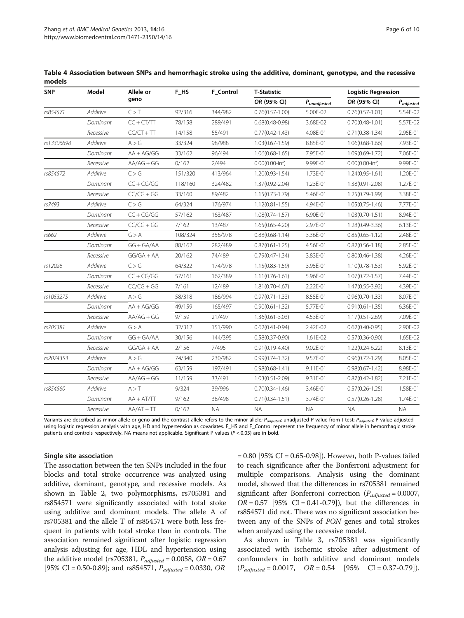| <b>SNP</b> | Model     | Allele or<br>geno | F HS    | <b>F</b> Control | T-Statistic             |             | <b>Logistic Regression</b> |                |
|------------|-----------|-------------------|---------|------------------|-------------------------|-------------|----------------------------|----------------|
|            |           |                   |         |                  | OR (95% CI)             | Punadjusted | OR (95% CI)                | $P_{adjusted}$ |
| rs854571   | Additive  | C > T             | 92/316  | 344/982          | $0.76(0.57 - 1.00)$     | 5.00E-02    | $0.76(0.57 - 1.01)$        | 5.54E-02       |
|            | Dominant  | $CC + CT/TT$      | 78/158  | 289/491          | $0.68(0.48 - 0.98)$     | 3.68E-02    | $0.70(0.48 - 1.01)$        | 5.57E-02       |
|            | Recessive | $CC/CT + TT$      | 14/158  | 55/491           | $0.77(0.42 - 1.43)$     | 4.08E-01    | $0.71(0.38-1.34)$          | 2.95E-01       |
| rs13306698 | Additive  | A > G             | 33/324  | 98/988           | $1.03(0.67 - 1.59)$     | 8.85E-01    | $1.06(0.68 - 1.66)$        | 7.93E-01       |
|            | Dominant  | $AA + AG/GG$      | 33/162  | 96/494           | $1.06(0.68 - 1.65)$     | 7.95E-01    | $1.09(0.69 - 1.72)$        | 7.06E-01       |
|            | Recessive | $AA/AG + GG$      | 0/162   | 2/494            | $0.00(0.00\text{-}inf)$ | 9.99E-01    | $0.00(0.00\text{-}inf)$    | 9.99E-01       |
| rs854572   | Additive  | C > G             | 151/320 | 413/964          | $1.20(0.93 - 1.54)$     | 1.73E-01    | $1.24(0.95 - 1.61)$        | 1.20E-01       |
|            | Dominant  | $CC + CG/GG$      | 118/160 | 324/482          | 1.37(0.92-2.04)         | 1.23E-01    | 1.38(0.91-2.08)            | 1.27E-01       |
|            | Recessive | $CC/CG + GG$      | 33/160  | 89/482           | $1.15(0.73 - 1.79)$     | 5.46E-01    | 1.25(0.79-1.99)            | 3.38E-01       |
| rs7493     | Additive  | C > G             | 64/324  | 176/974          | $1.12(0.81 - 1.55)$     | 4.94E-01    | $1.05(0.75 - 1.46)$        | 7.77E-01       |
|            | Dominant  | $CC + CG/GG$      | 57/162  | 163/487          | $1.08(0.74 - 1.57)$     | 6.90E-01    | $1.03(0.70 - 1.51)$        | 8.94E-01       |
|            | Recessive | $CC/CG + GG$      | 7/162   | 13/487           | $1.65(0.65 - 4.20)$     | 2.97E-01    | 1.28(0.49-3.36)            | 6.13E-01       |
| rs662      | Additive  | G > A             | 108/324 | 356/978          | $0.88(0.68 - 1.14)$     | 3.36E-01    | $0.85(0.65 - 1.12)$        | 2.48E-01       |
|            | Dominant  | $GG + GA/AA$      | 88/162  | 282/489          | $0.87(0.61 - 1.25)$     | 4.56E-01    | $0.82(0.56 - 1.18)$        | 2.85E-01       |
|            | Recessive | $GG/GA + AA$      | 20/162  | 74/489           | $0.79(0.47 - 1.34)$     | 3.83E-01    | $0.80(0.46 - 1.38)$        | 4.26E-01       |
| rs12026    | Additive  | C > G             | 64/322  | 174/978          | $1.15(0.83 - 1.59)$     | 3.95E-01    | $1.10(0.78 - 1.53)$        | 5.92E-01       |
|            | Dominant  | $CC + CG/GG$      | 57/161  | 162/389          | $1.11(0.76 - 1.61)$     | 5.96E-01    | $1.07(0.72 - 1.57)$        | 7.44E-01       |
|            | Recessive | $CC/CG + GG$      | 7/161   | 12/489           | $1.81(0.70 - 4.67)$     | 2.22E-01    | 1.47(0.55-3.92)            | 4.39E-01       |
| rs1053275  | Additive  | A > G             | 58/318  | 186/994          | $0.97(0.71 - 1.33)$     | 8.55E-01    | $0.96(0.70-1.33)$          | 8.07E-01       |
|            | Dominant  | $AA + AG/GG$      | 49/159  | 165/497          | $0.90(0.61 - 1.32)$     | 5.77E-01    | $0.91(0.61 - 1.35)$        | 6.36E-01       |
|            | Recessive | $AA/AG + GG$      | 9/159   | 21/497           | $1.36(0.61 - 3.03)$     | 4.53E-01    | $1.17(0.51 - 2.69)$        | 7.09E-01       |
| rs705381   | Additive  | G > A             | 32/312  | 151/990          | $0.62(0.41 - 0.94)$     | 2.42E-02    | $0.62(0.40 - 0.95)$        | 2.90E-02       |
|            | Dominant  | $GG + GA/AA$      | 30/156  | 144/395          | $0.58(0.37 - 0.90)$     | 1.61E-02    | $0.57(0.36 - 0.90)$        | 1.65E-02       |
|            | Recessive | $GG/GA + AA$      | 2/156   | 7/495            | $0.91(0.19 - 4.40)$     | 9.02E-01    | 1.22(0.24-6.22)            | 8.13E-01       |
| rs2074353  | Additive  | A > G             | 74/340  | 230/982          | $0.99(0.74 - 1.32)$     | 9.57E-01    | $0.96(0.72 - 1.29)$        | 8.05E-01       |
|            | Dominant  | $AA + AG/GG$      | 63/159  | 197/491          | $0.98(0.68 - 1.41)$     | 9.11E-01    | $0.98(0.67 - 1.42)$        | 8.98E-01       |
|            | Recessive | $AA/AG + GG$      | 11/159  | 33/491           | $1.03(0.51 - 2.09)$     | 9.31E-01    | $0.87(0.42 - 1.82)$        | 7.21E-01       |
| rs854560   | Additive  | A > T             | 9/324   | 39/996           | $0.70(0.34 - 1.46)$     | 3.46E-01    | $0.57(0.26 - 1.25)$        | 1.58E-01       |
|            | Dominant  | $AA + AT/TT$      | 9/162   | 38/498           | $0.71(0.34 - 1.51)$     | 3.74E-01    | $0.57(0.26 - 1.28)$        | 1.74E-01       |
|            | Recessive | $AA/AT + TT$      | 0/162   | <b>NA</b>        | <b>NA</b>               | <b>NA</b>   | <b>NA</b>                  | <b>NA</b>      |

<span id="page-5-0"></span>Table 4 Association between SNPs and hemorrhagic stroke using the additive, dominant, genotype, and the recessive models

Variants are described as minor allele or geno and the contrast allele refers to the minor allele;  $P_{unjusted}$ : unadjusted P-value from t-test;  $P_{adjusted}$ : P value adjusted using logistic regression analysis with age, HD and hypertension as covariates. F\_HS and F\_Control represent the frequency of minor allele in hemorrhagic stroke patients and controls respectively. NA means not applicable. Significant P values (P < 0.05) are in bold.

#### Single site association

The association between the ten SNPs included in the four blocks and total stroke occurrence was analyzed using additive, dominant, genotype, and recessive models. As shown in Table [2,](#page-3-0) two polymorphisms, rs705381 and rs854571 were significantly associated with total stoke using additive and dominant models. The allele A of rs705381 and the allele T of rs854571 were both less frequent in patients with total stroke than in controls. The association remained significant after logistic regression analysis adjusting for age, HDL and hypertension using the additive model (rs705381,  $P_{adjusted} = 0.0058$ ,  $OR = 0.67$ [95% CI = 0.50-0.89]; and rs854571,  $P_{adjusted} = 0.0330$ , OR

= 0.80 [95% CI = 0.65-0.98]). However, both P-values failed to reach significance after the Bonferroni adjustment for multiple comparisons. Analysis using the dominant model, showed that the differences in rs705381 remained significant after Bonferroni correction ( $P_{adjusted} = 0.0007$ ,  $OR = 0.57$  [95% CI = 0.41-0.79]), but the differences in rs854571 did not. There was no significant association between any of the SNPs of PON genes and total strokes when analyzed using the recessive model.

As shown in Table [3](#page-4-0), rs705381 was significantly associated with ischemic stroke after adjustment of confounders in both additive and dominant models  $(P_{adjusted} = 0.0017, \quad OR = 0.54 \quad [95\% \quad CI = 0.37-0.79]).$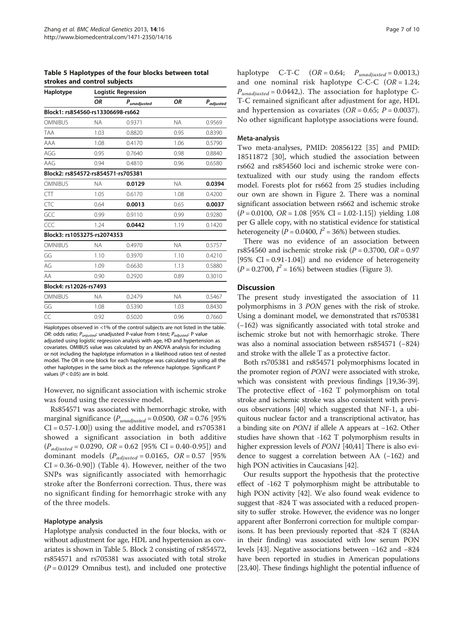Table 5 Haplotypes of the four blocks between total strokes and control subjects

| Haplotype                          | <b>Logistic Regression</b> |        |           |           |  |  |  |
|------------------------------------|----------------------------|--------|-----------|-----------|--|--|--|
|                                    | ΟR<br>$P_{unadjusted}$     |        | ΟR        | Padjusted |  |  |  |
| Block1: rs854560-rs13306698-rs662  |                            |        |           |           |  |  |  |
| <b>OMNIBUS</b>                     | <b>NA</b>                  | 0.9371 | <b>NA</b> | 0.9569    |  |  |  |
| <b>TAA</b>                         | 1.03                       | 0.8820 | 0.95      | 0.8390    |  |  |  |
| AAA                                | 1.08                       | 0.4170 | 1.06      | 0.5790    |  |  |  |
| AGG                                | 0.95                       | 0.7640 | 0.98      | 0.8840    |  |  |  |
| AAG                                | 0.94                       | 0.4810 | 0.96      | 0.6580    |  |  |  |
| Block2: rs854572-rs854571-rs705381 |                            |        |           |           |  |  |  |
| <b>OMNIBUS</b>                     | <b>NA</b>                  | 0.0129 | <b>NA</b> | 0.0394    |  |  |  |
| CTT                                | 1.05                       | 0.6170 | 1.08      | 0.4200    |  |  |  |
| CTC                                | 0.64                       | 0.0013 | 0.65      | 0.0037    |  |  |  |
| GCC                                | 0.99                       | 0.9110 | 0.99      | 0.9280    |  |  |  |
| CCC                                | 1.24                       | 0.0442 | 1.19      | 0.1420    |  |  |  |
| Block3: rs1053275-rs2074353        |                            |        |           |           |  |  |  |
| <b>OMNIBUS</b>                     | <b>NA</b>                  | 0.4970 | <b>NA</b> | 0.5757    |  |  |  |
| GG                                 | 1.10                       | 0.3970 | 1.10      | 0.4210    |  |  |  |
| AG                                 | 1.09                       | 0.6630 | 1.13      | 0.5880    |  |  |  |
| AA                                 | 0.90                       | 0.2920 | 0.89      | 0.3010    |  |  |  |
| Block4: rs12026-rs7493             |                            |        |           |           |  |  |  |
| <b>OMNIBUS</b>                     | <b>NA</b>                  | 0.2479 | <b>NA</b> | 0.5467    |  |  |  |
| GG                                 | 1.08                       | 0.5390 | 1.03      | 0.8430    |  |  |  |
| CC                                 | 0.92                       | 0.5020 | 0.96      | 0.7660    |  |  |  |
|                                    |                            |        |           |           |  |  |  |

Haplotypes observed in <1% of the control subjects are not listed in the table. OR: odds ratio;  $P_{unjusted}$ : unadjusted P-value from t-test;  $P_{adiusted}$ : P value adjusted using logistic regression analysis with age, HD and hypertension as covariates. OMIBUS value was calculated by an ANOVA analysis for including or not including the haplotype information in a likelihood ration test of nested model. The OR in one block for each haplotype was calculated by using all the other haplotypes in the same block as the reference haplotype. Significant P values ( $P < 0.05$ ) are in bold.

However, no significant association with ischemic stroke was found using the recessive model.

Rs854571 was associated with hemorrhagic stroke, with marginal significance ( $P_{unadjusted} = 0.0500$ , OR = 0.76 [95%]  $CI = 0.57 - 1.00$ ]) using the additive model, and  $rs705381$ showed a significant association in both additive  $(P_{adjusted} = 0.0290, OR = 0.62 [95\% CI = 0.40-0.95])$  and dominant models  $(P_{adjusted} = 0.0165, OR = 0.57$  [95%] CI = 0.36-0.90]) (Table [4\)](#page-5-0). However, neither of the two SNPs was significantly associated with hemorrhagic stroke after the Bonferroni correction. Thus, there was no significant finding for hemorrhagic stroke with any of the three models.

#### Haplotype analysis

Haplotype analysis conducted in the four blocks, with or without adjustment for age, HDL and hypertension as covariates is shown in Table 5. Block 2 consisting of rs854572, rs854571 and rs705381 was associated with total stroke  $(P = 0.0129$  Omnibus test), and included one protective haplotype  $C-T-C$   $(OR = 0.64; P_{unadjusted} = 0.0013)$ and one nominal risk haplotype C-C-C  $(OR = 1.24;$  $P_{unadjusted} = 0.0442$ ,). The association for haplotype C-T-C remained significant after adjustment for age, HDL and hypertension as covariates  $(OR = 0.65; P = 0.0037)$ . No other significant haplotype associations were found.

#### Meta-analysis

Two meta-analyses, PMID: 20856122 [[35\]](#page-9-0) and PMID: 18511872 [\[30](#page-9-0)], which studied the association between rs662 and rs854560 loci and ischemic stroke were contextualized with our study using the random effects model. Forests plot for rs662 from 25 studies including our own are shown in Figure [2.](#page-7-0) There was a nominal significant association between rs662 and ischemic stroke  $(P = 0.0100, \text{ OR} = 1.08 \, [95\% \text{ CI} = 1.02-1.15])$  yielding 1.08 per G allele copy, with no statistical evidence for statistical heterogeneity ( $\overline{P}$  = 0.0400,  $I^2$  = 36%) between studies.

There was no evidence of an association between rs854560 and ischemic stroke risk ( $P = 0.3700$ ,  $OR = 0.97$ [95%  $CI = 0.91 - 1.04$ ]) and no evidence of heterogeneity  $(P = 0.2700, I^2 = 16\%)$  between studies (Figure [3\)](#page-7-0).

#### **Discussion**

The present study investigated the association of 11 polymorphisms in 3 PON genes with the risk of stroke. Using a dominant model, we demonstrated that rs705381 (−162) was significantly associated with total stroke and ischemic stroke but not with hemorrhagic stroke. There was also a nominal association between rs854571 (−824) and stroke with the allele T as a protective factor.

Both rs705381 and rs854571 polymorphisms located in the promoter region of PON1 were associated with stroke, which was consistent with previous findings [[19,36](#page-9-0)-[39](#page-9-0)]. The protective effect of -162 T polymorphism on total stroke and ischemic stroke was also consistent with previous observations [\[40\]](#page-9-0) which suggested that NF-1, a ubiquitous nuclear factor and a transcriptional activator, has a binding site on PON1 if allele A appears at −162. Other studies have shown that -162 T polymorphism results in higher expression levels of *PON1* [\[40,41](#page-9-0)] There is also evidence to suggest a correlation between AA (−162) and high PON activities in Caucasians [[42](#page-9-0)].

Our results support the hypothesis that the protective effect of -162 T polymorphism might be attributable to high PON activity [\[42\]](#page-9-0). We also found weak evidence to suggest that -824 T was associated with a reduced propensity to suffer stroke. However, the evidence was no longer apparent after Bonferroni correction for multiple comparisons. It has been previously reported that -824 T (824A in their finding) was associated with low serum PON levels [\[43\]](#page-9-0). Negative associations between −162 and −824 have been reported in studies in American populations [[23](#page-9-0),[40](#page-9-0)]. These findings highlight the potential influence of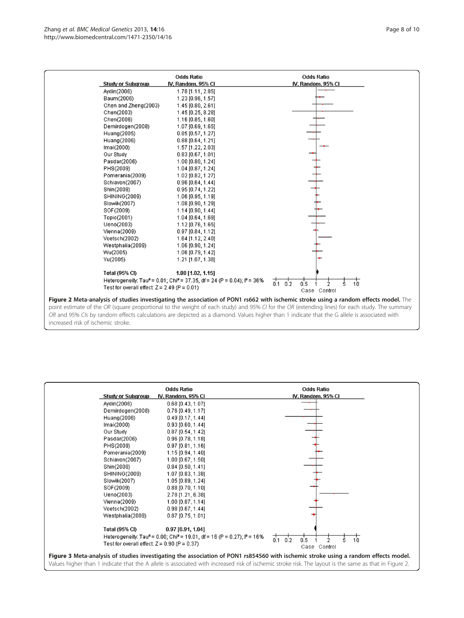<span id="page-7-0"></span>

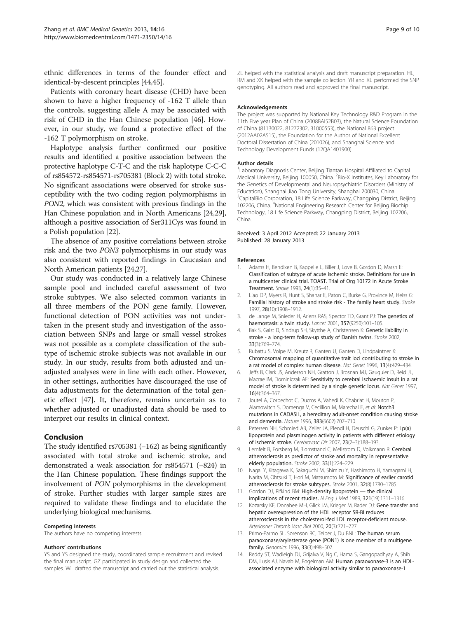<span id="page-8-0"></span>ethnic differences in terms of the founder effect and identical-by-descent principles [\[44,45\]](#page-9-0).

Patients with coronary heart disease (CHD) have been shown to have a higher frequency of -162 T allele than the controls, suggesting allele A may be associated with risk of CHD in the Han Chinese population [[46](#page-9-0)]. However, in our study, we found a protective effect of the -162 T polymorphism on stroke.

Haplotype analysis further confirmed our positive results and identified a positive association between the protective haplotype C-T-C and the risk haplotype C-C-C of rs854572-rs854571-rs705381 (Block 2) with total stroke. No significant associations were observed for stroke susceptibility with the two coding region polymorphisms in PON2, which was consistent with previous findings in the Han Chinese population and in North Americans [\[24,29](#page-9-0)], although a positive association of Ser311Cys was found in a Polish population [\[22\]](#page-9-0).

The absence of any positive correlations between stroke risk and the two PON3 polymorphisms in our study was also consistent with reported findings in Caucasian and North American patients [[24,27](#page-9-0)].

Our study was conducted in a relatively large Chinese sample pool and included careful assessment of two stroke subtypes. We also selected common variants in all three members of the PON gene family. However, functional detection of PON activities was not undertaken in the present study and investigation of the association between SNPs and large or small vessel strokes was not possible as a complete classification of the subtype of ischemic stroke subjects was not available in our study. In our study, results from both adjusted and unadjusted analyses were in line with each other. However, in other settings, authorities have discouraged the use of data adjustments for the determination of the total genetic effect [\[47](#page-9-0)]. It, therefore, remains uncertain as to whether adjusted or unadjusted data should be used to interpret our results in clinical context.

# Conclusion

The study identified rs705381 (−162) as being significantly associated with total stroke and ischemic stroke, and demonstrated a weak association for rs854571 (−824) in the Han Chinese population. These findings support the involvement of PON polymorphisms in the development of stroke. Further studies with larger sample sizes are required to validate these findings and to elucidate the underlying biological mechanisms.

#### Competing interests

The authors have no competing interests.

#### Authors' contributions

YS and YS designed the study, coordinated sample recruitment and revised the final manuscript. GZ participated in study design and collected the samples. WL drafted the manuscript and carried out the statistical analysis.

ZL helped with the statistical analysis and draft manuscript preparation. HL, RM and XK helped with the sample collection. YR and XL performed the SNP genotyping. All authors read and approved the final manuscript.

#### Acknowledgements

The project was supported by National Key Technology R&D Program in the 11th Five year Plan of China (2008BAI52B03), the Natural Science Foundation of China (81130022, 81272302, 31000553), the National 863 project (2012AA02A515), the Foundation for the Author of National Excellent Doctoral Dissertation of China (201026), and Shanghai Science and Technology Development Funds (12QA1401900).

#### Author details

<sup>1</sup> Laboratory Diagnosis Center, Beijing Tiantan Hospital Affiliated to Capital Medical University, Beijing 100050, China. <sup>2</sup>Bio-X Institutes, Key Laboratory for the Genetics of Developmental and Neuropsychiatric Disorders (Ministry of Education), Shanghai Jiao Tong University, Shanghai 200030, China. <sup>3</sup>CapitalBio Corporation, 18 Life Science Parkway, Changping District, Beijing 102206, China. <sup>4</sup>National Engineering Research Center for Beijing Biochip Technology, 18 Life Science Parkway, Changping District, Beijing 102206, China.

#### Received: 3 April 2012 Accepted: 22 January 2013 Published: 28 January 2013

#### References

- 1. Adams H, Bendixen B, Kappelle L, Biller J, Love B, Gordon D, Marsh E: Classification of subtype of acute ischemic stroke. Definitions for use in a multicenter clinical trial. TOAST. Trial of Org 10172 in Acute Stroke Treatment. Stroke 1993, 24(1):35–41.
- 2. Liao DP, Myers R, Hunt S, Shahar E, Paton C, Burke G, Province M, Heiss G: Familial history of stroke and stroke risk - The family heart study. Stroke 1997, 28(10):1908–1912.
- 3. de Lange M, Snieder H, Ariens RAS, Spector TD, Grant PJ: The genetics of haemostasis: a twin study. Lancet 2001, 357(9250):101–105.
- 4. Bak S, Gaist D, Sindrup SH, Skytthe A, Christensen K: Genetic liability in stroke - a long-term follow-up study of Danish twins. Stroke 2002, 33(3):769–774.
- 5. Rubattu S, Volpe M, Kreutz R, Ganten U, Ganten D, Lindpaintner K: Chromosomal mapping of quantitative trait loci contributing to stroke in a rat model of complex human disease. Nat Genet 1996, 13(4):429–434.
- 6. Jeffs B, Clark JS, Anderson NH, Gratton J, Brosnan MJ, Gauguier D, Reid JL, Macrae IM, Dominiczak AF: Sensitivity to cerebral ischaemic insult in a rat model of stroke is determined by a single genetic locus. Nat Genet 1997, 16(4):364–367.
- 7. Joutel A, Corpechot C, Ducros A, Vahedi K, Chabriat H, Mouton P, Alamowitch S, Domenga V, Cecillion M, Marechal E, et al: Notch3 mutations in CADASIL, a hereditary adult-onset condition causing stroke and dementia. Nature 1996, 383(6602):707–710.
- 8. Petersen NH, Schmied AB, Zeller JA, Plendl H, Deuschl G, Zunker P: Lp(a) lipoprotein and plasminogen activity in patients with different etiology of ischemic stroke. Cerebrovasc Dis 2007, 23(2–3):188–193.
- 9. Lernfelt B, Forsberg M, Blomstrand C, Mellstrom D, Volkmann R: Cerebral atherosclerosis as predictor of stroke and mortality in representative elderly population. Stroke 2002, 33(1):224–229.
- 10. Nagai Y, Kitagawa K, Sakaguchi M, Shimizu Y, Hashimoto H, Yamagami H, Narita M, Ohtsuki T, Hori M, Matsumoto M: Significance of earlier carotid atherosclerosis for stroke subtypes. Stroke 2001, 32(8):1780–1785.
- 11. Gordon DJ, Rifkind BM: High-density lipoprotein the clinical implications of recent studies. N Eng J Med 1989, 321(19):1311–1316.
- 12. Kozarsky KF, Donahee MH, Glick JM, Krieger M, Rader DJ: Gene transfer and hepatic overexpression of the HDL receptor SR-BI reduces atherosclerosis in the cholesterol-fed LDL receptor-deficient mouse. Arterioscler Thromb Vasc Biol 2000, 20(3):721–727.
- 13. Primo-Parmo SL, Sorenson RC, Teiber J, Du BNL: The human serum paraoxonase/arylesterase gene (PON1) is one member of a multigene family. Genomics 1996, 33(3):498–507.
- 14. Reddy ST, Wadleigh DJ, Grijalva V, Ng C, Hama S, Gangopadhyay A, Shih DM, Lusis AJ, Navab M, Fogelman AM: Human paraoxonase-3 is an HDLassociated enzyme with biological activity similar to paraoxonase-1